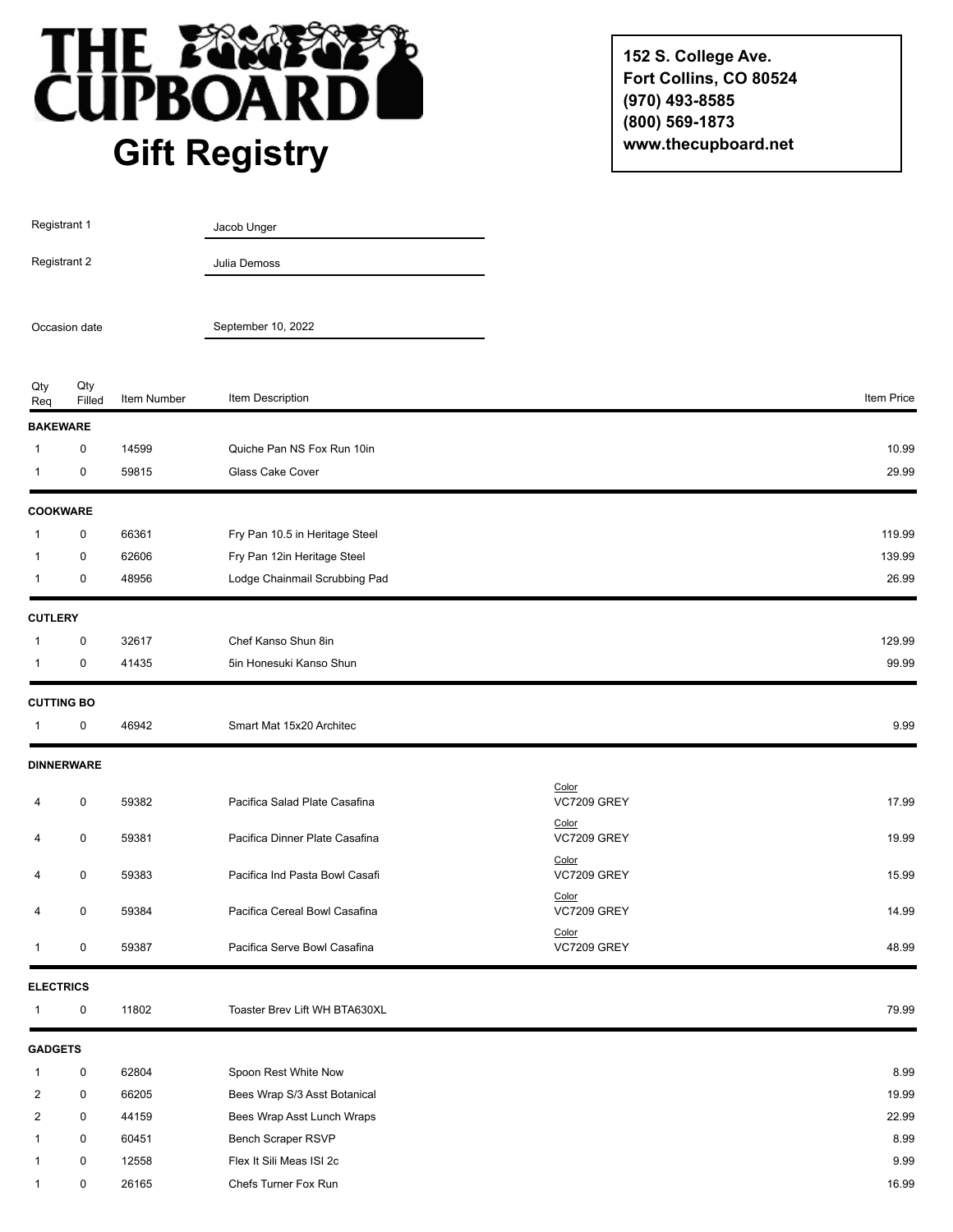

**152 S. College Ave. Fort Collins, CO 80524 (970) 493-8585 (800) 569-1873 www.thecupboard.net**

| Registrant 1<br>Registrant 2<br>Occasion date |                               |             | Jacob Unger                    |                             |            |
|-----------------------------------------------|-------------------------------|-------------|--------------------------------|-----------------------------|------------|
|                                               |                               |             | Julia Demoss                   |                             |            |
|                                               |                               |             | September 10, 2022             |                             |            |
| Qty<br>Req                                    | Qty<br>Filled                 | Item Number | Item Description               |                             | Item Price |
|                                               | <b>BAKEWARE</b>               |             |                                |                             |            |
| 1                                             | 0                             | 14599       | Quiche Pan NS Fox Run 10in     |                             | 10.99      |
| 1                                             | 0                             | 59815       | Glass Cake Cover               |                             | 29.99      |
|                                               | <b>COOKWARE</b>               |             |                                |                             |            |
| 1                                             | 0                             | 66361       | Fry Pan 10.5 in Heritage Steel |                             | 119.99     |
| $\mathbf{1}$                                  | 0                             | 62606       | Fry Pan 12in Heritage Steel    |                             | 139.99     |
| $\mathbf{1}$                                  | 0                             | 48956       | Lodge Chainmail Scrubbing Pad  |                             | 26.99      |
| <b>CUTLERY</b>                                |                               |             |                                |                             |            |
| $\mathbf{1}$                                  | $\pmb{0}$                     | 32617       | Chef Kanso Shun 8in            |                             | 129.99     |
| -1                                            | $\pmb{0}$                     | 41435       | 5in Honesuki Kanso Shun        |                             | 99.99      |
|                                               | <b>CUTTING BO</b>             |             |                                |                             |            |
| $\mathbf{1}$                                  | 0                             | 46942       | Smart Mat 15x20 Architec       |                             | 9.99       |
|                                               | <b>DINNERWARE</b>             |             |                                |                             |            |
| 4                                             | $\pmb{0}$                     | 59382       | Pacifica Salad Plate Casafina  | Color<br><b>VC7209 GREY</b> | 17.99      |
| 4                                             | 0                             | 59381       | Pacifica Dinner Plate Casafina | Color<br><b>VC7209 GREY</b> | 19.99      |
| 4                                             | $\pmb{0}$                     | 59383       | Pacifica Ind Pasta Bowl Casafi | Color<br><b>VC7209 GREY</b> | 15.99      |
| 4                                             | 0                             | 59384       | Pacifica Cereal Bowl Casafina  | Color<br><b>VC7209 GREY</b> | 14.99      |
| $\mathbf{1}$                                  | $\pmb{0}$                     | 59387       | Pacifica Serve Bowl Casafina   | Color<br>VC7209 GREY        | 48.99      |
|                                               |                               |             |                                |                             |            |
| $\mathbf{1}$                                  | <b>ELECTRICS</b><br>$\pmb{0}$ | 11802       | Toaster Brev Lift WH BTA630XL  |                             | 79.99      |
| <b>GADGETS</b>                                |                               |             |                                |                             |            |
| $\mathbf 1$                                   | 0                             | 62804       | Spoon Rest White Now           |                             | 8.99       |
| $\overline{c}$                                | $\pmb{0}$                     | 66205       | Bees Wrap S/3 Asst Botanical   |                             | 19.99      |
| 2                                             | 0                             | 44159       | Bees Wrap Asst Lunch Wraps     |                             | 22.99      |
| 1                                             | $\pmb{0}$                     | 60451       | Bench Scraper RSVP             |                             | 8.99       |
| 1                                             | $\pmb{0}$                     | 12558       | Flex It Sili Meas ISI 2c       |                             | 9.99       |
| $\mathbf{1}$                                  | $\pmb{0}$                     | 26165       | Chefs Turner Fox Run           |                             | 16.99      |
|                                               |                               |             |                                |                             |            |